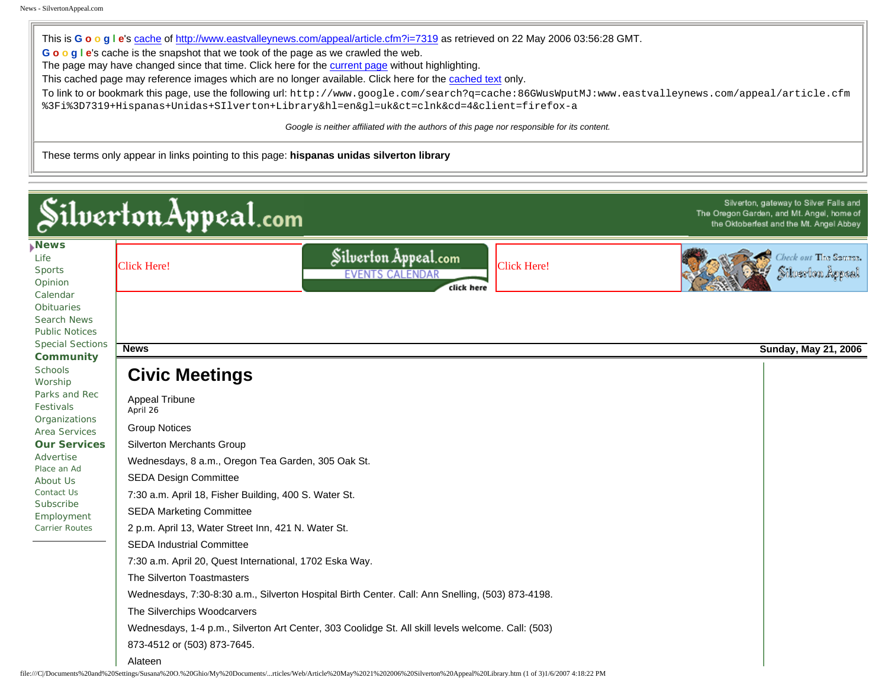This is **G o o g l e**'s [cache](http://www.google.com/intl/en/help/features.html#cached) of <http://www.eastvalleynews.com/appeal/article.cfm?i=7319>as retrieved on 22 May 2006 03:56:28 GMT. **G o o g l e**'s cache is the snapshot that we took of the page as we crawled the web. The page may have changed since that time. Click here for the [current page](http://www.eastvalleynews.com/appeal/article.cfm?i=7319) without highlighting. This cached page may reference images which are no longer available. Click here for the [cached text](http://64.233.187.104/search?q=cache:86GWusWputMJ:www.eastvalleynews.com/appeal/article.cfm%3Fi%3D7319+Hispanas+Unidas+SIlverton+Library&hl=en&lr=&client=firefox-a&strip=1) only. To link to or bookmark this page, use the following url: http://www.google.com/search?q=cache:86GWusWputMJ:www.eastvalleynews.com/appeal/article.cfm %3Fi%3D7319+Hispanas+Unidas+SIlverton+Library&hl=en&gl=uk&ct=clnk&cd=4&client=firefox-a

*Google is neither affiliated with the authors of this page nor responsible for its content.*

These terms only appear in links pointing to this page: **hispanas unidas silverton library** 

| Silverton, gateway to Silver Falls and<br>Silverton Appeal.com<br>The Oregon Garden, and Mt. Angel, home of<br>the Oktoberfest and the Mt. Angel Abbey                                                                                                                                                                                                                                                |                                                                                                                                                                                     |                                                           |
|-------------------------------------------------------------------------------------------------------------------------------------------------------------------------------------------------------------------------------------------------------------------------------------------------------------------------------------------------------------------------------------------------------|-------------------------------------------------------------------------------------------------------------------------------------------------------------------------------------|-----------------------------------------------------------|
| <b>News</b><br>Life<br><b>Sports</b><br>Opinion<br>Calendar<br><b>Obituaries</b><br>Search News<br><b>Public Notices</b><br><b>Special Sections</b><br>Community<br><b>Schools</b><br>Worship<br>Parks and Rec<br><b>Festivals</b><br>Organizations<br>Area Services<br><b>Our Services</b><br>Advertise<br>Place an Ad<br>About Us<br>Contact Us<br>Subscribe<br>Employment<br><b>Carrier Routes</b> | Silverton Appeal.com<br><b>Click Here!</b><br><b>Click Here!</b><br><b>EVENTS CALENDAR</b><br>click here                                                                            | Check out <b>T</b> ing <b>Spurps.</b><br>Silverton Appeal |
|                                                                                                                                                                                                                                                                                                                                                                                                       | <b>News</b>                                                                                                                                                                         | <b>Sunday, May 21, 2006</b>                               |
|                                                                                                                                                                                                                                                                                                                                                                                                       |                                                                                                                                                                                     |                                                           |
|                                                                                                                                                                                                                                                                                                                                                                                                       | <b>Civic Meetings</b>                                                                                                                                                               |                                                           |
|                                                                                                                                                                                                                                                                                                                                                                                                       | Appeal Tribune<br>April 26                                                                                                                                                          |                                                           |
|                                                                                                                                                                                                                                                                                                                                                                                                       | <b>Group Notices</b>                                                                                                                                                                |                                                           |
|                                                                                                                                                                                                                                                                                                                                                                                                       | Silverton Merchants Group                                                                                                                                                           |                                                           |
|                                                                                                                                                                                                                                                                                                                                                                                                       | Wednesdays, 8 a.m., Oregon Tea Garden, 305 Oak St.                                                                                                                                  |                                                           |
|                                                                                                                                                                                                                                                                                                                                                                                                       | <b>SEDA Design Committee</b>                                                                                                                                                        |                                                           |
|                                                                                                                                                                                                                                                                                                                                                                                                       | 7:30 a.m. April 18, Fisher Building, 400 S. Water St.                                                                                                                               |                                                           |
|                                                                                                                                                                                                                                                                                                                                                                                                       | <b>SEDA Marketing Committee</b>                                                                                                                                                     |                                                           |
|                                                                                                                                                                                                                                                                                                                                                                                                       | 2 p.m. April 13, Water Street Inn, 421 N. Water St.                                                                                                                                 |                                                           |
|                                                                                                                                                                                                                                                                                                                                                                                                       | <b>SEDA Industrial Committee</b>                                                                                                                                                    |                                                           |
|                                                                                                                                                                                                                                                                                                                                                                                                       | 7:30 a.m. April 20, Quest International, 1702 Eska Way.                                                                                                                             |                                                           |
|                                                                                                                                                                                                                                                                                                                                                                                                       | The Silverton Toastmasters                                                                                                                                                          |                                                           |
|                                                                                                                                                                                                                                                                                                                                                                                                       | Wednesdays, 7:30-8:30 a.m., Silverton Hospital Birth Center. Call: Ann Snelling, (503) 873-4198.                                                                                    |                                                           |
|                                                                                                                                                                                                                                                                                                                                                                                                       | The Silverchips Woodcarvers                                                                                                                                                         |                                                           |
|                                                                                                                                                                                                                                                                                                                                                                                                       | Wednesdays, 1-4 p.m., Silverton Art Center, 303 Coolidge St. All skill levels welcome. Call: (503)                                                                                  |                                                           |
|                                                                                                                                                                                                                                                                                                                                                                                                       | 873-4512 or (503) 873-7645.                                                                                                                                                         |                                                           |
|                                                                                                                                                                                                                                                                                                                                                                                                       | Alateen<br>e:///C/Documents%20and%20Settings/Susana%20O.%20Ghio/My%20Documents/rticles/Web/Article%20May%2021%202006%20Silverton%20Appeal%20Library.htm (1 of 3)1/6/2007 4:18:22 PM |                                                           |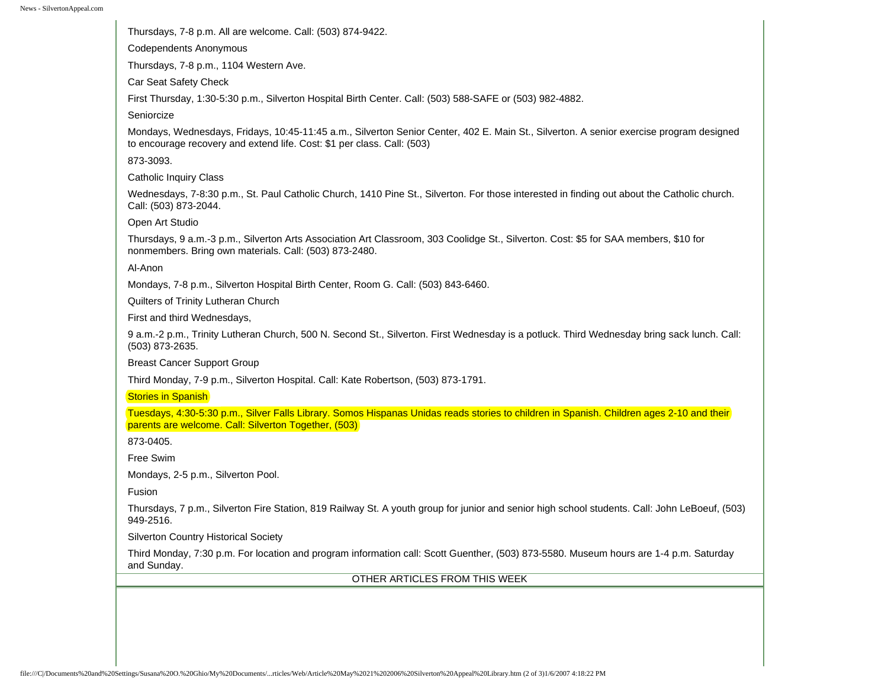Thursdays, 7-8 p.m. All are welcome. Call: (503) 874-9422. Codependents Anonymous Thursdays, 7-8 p.m., 1104 Western Ave. Car Seat Safety Check First Thursday, 1:30-5:30 p.m., Silverton Hospital Birth Center. Call: (503) 588-SAFE or (503) 982-4882. Seniorcize Mondays, Wednesdays, Fridays, 10:45-11:45 a.m., Silverton Senior Center, 402 E. Main St., Silverton. A senior exercise program designed to encourage recovery and extend life. Cost: \$1 per class. Call: (503) 873-3093. Catholic Inquiry Class Wednesdays, 7-8:30 p.m., St. Paul Catholic Church, 1410 Pine St., Silverton. For those interested in finding out about the Catholic church. Call: (503) 873-2044. Open Art Studio Thursdays, 9 a.m.-3 p.m., Silverton Arts Association Art Classroom, 303 Coolidge St., Silverton. Cost: \$5 for SAA members, \$10 for nonmembers. Bring own materials. Call: (503) 873-2480. Al-Anon Mondays, 7-8 p.m., Silverton Hospital Birth Center, Room G. Call: (503) 843-6460. Quilters of Trinity Lutheran Church First and third Wednesdays, 9 a.m.-2 p.m., Trinity Lutheran Church, 500 N. Second St., Silverton. First Wednesday is a potluck. Third Wednesday bring sack lunch. Call: (503) 873-2635. Breast Cancer Support Group Third Monday, 7-9 p.m., Silverton Hospital. Call: Kate Robertson, (503) 873-1791. Stories in Spanish Tuesdays, 4:30-5:30 p.m., Silver Falls Library. Somos Hispanas Unidas reads stories to children in Spanish. Children ages 2-10 and their parents are welcome. Call: Silverton Together, (503) 873-0405. Free Swim Mondays, 2-5 p.m., Silverton Pool. Fusion Thursdays, 7 p.m., Silverton Fire Station, 819 Railway St. A youth group for junior and senior high school students. Call: John LeBoeuf, (503) 949-2516. Silverton Country Historical Society Third Monday, 7:30 p.m. For location and program information call: Scott Guenther, (503) 873-5580. Museum hours are 1-4 p.m. Saturday and Sunday. OTHER ARTICLES FROM THIS WEEK